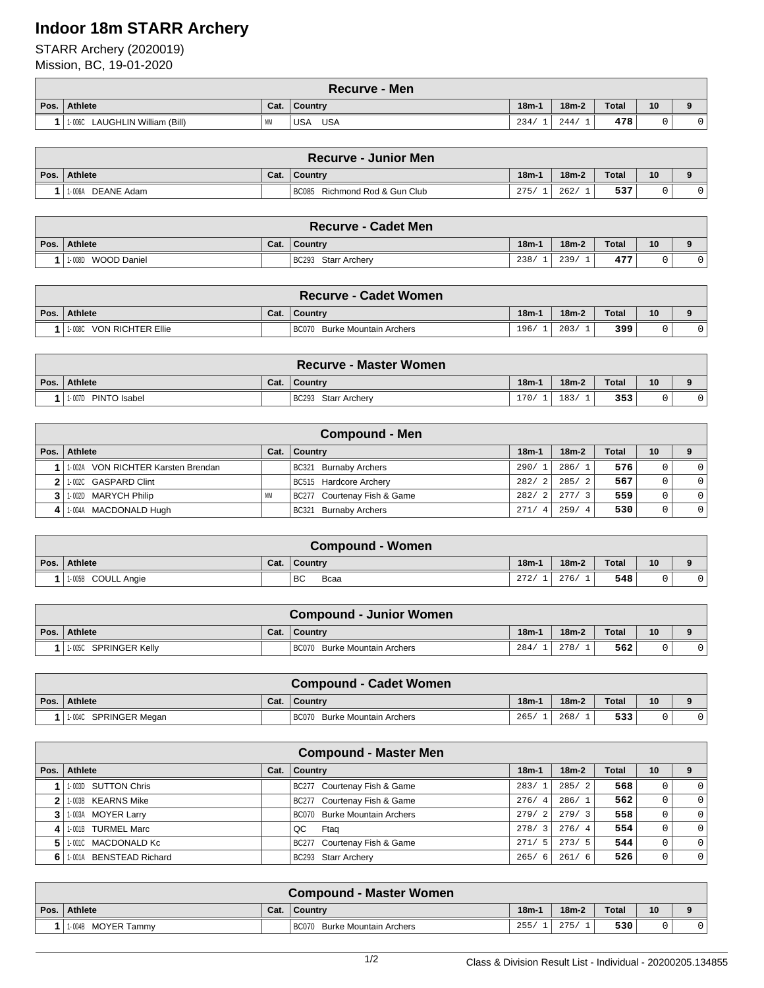## **Indoor 18m STARR Archery**

STARR Archery (2020019)

Mission, BC, 19-01-2020

|      | <b>Recurve - Men</b>                  |           |                          |          |         |              |    |  |  |  |
|------|---------------------------------------|-----------|--------------------------|----------|---------|--------------|----|--|--|--|
| Pos. | Athlete                               | Cat.      | Country                  | $18m-1$  | $18m-2$ | <b>Total</b> | 10 |  |  |  |
|      | LAUGHLIN William (Bill)<br>$1 - 006C$ | <b>MM</b> | <b>USA</b><br><b>USA</b> | 234.<br> | 244.    | 478          |    |  |  |  |

|      | <b>Recurve - Junior Men</b> |      |                               |         |         |       |    |  |  |  |
|------|-----------------------------|------|-------------------------------|---------|---------|-------|----|--|--|--|
| Pos. | Athlete                     | Cat. | <b>Country</b>                | $18m-1$ | $18m-2$ | Total | 10 |  |  |  |
|      | DEANE Adam<br>1-006A        |      | BC085 Richmond Rod & Gun Club | 275/    | 262/    | 537   |    |  |  |  |

|      | <b>Recurve - Cadet Men</b> |      |                     |         |         |              |    |  |  |  |
|------|----------------------------|------|---------------------|---------|---------|--------------|----|--|--|--|
| Pos. | Athlete                    | Cat. | <b>Country</b>      | $18m -$ | $18m-2$ | <b>Total</b> | 10 |  |  |  |
|      | WOOD Daniel<br>1-008D      |      | BC293 Starr Archery | 238/    | 239/    | 477          |    |  |  |  |

|      | <b>Recurve - Cadet Women</b> |      |                                        |         |         |              |    |  |  |  |
|------|------------------------------|------|----------------------------------------|---------|---------|--------------|----|--|--|--|
| Pos. | <b>Athlete</b>               | Cat. | Country                                | $18m -$ | $18m-2$ | <b>Total</b> | 10 |  |  |  |
|      | VON RICHTER Ellie<br>1-008C  |      | <b>BC070</b><br>Burke Mountain Archers | 196/    | 203/    | 399.         |    |  |  |  |

|                        |      | <b>Recurve - Master Women</b> |         |         |       |    |  |
|------------------------|------|-------------------------------|---------|---------|-------|----|--|
| Pos. Athlete           | Cat. | l Countrv                     | $18m -$ | $18m-2$ | Total | 10 |  |
| PINTO Isabel<br>1-007D |      | BC293 Starr Archery           | 170/    | 183/    | 353   |    |  |

| <b>Compound - Men</b>              |           |                             |                        |  |         |              |    |          |  |  |
|------------------------------------|-----------|-----------------------------|------------------------|--|---------|--------------|----|----------|--|--|
| Pos. Athlete                       | Cat.      | Country                     | $18m -$                |  | $18m-2$ | <b>Total</b> | 10 |          |  |  |
| 1.002A VON RICHTER Karsten Brendan |           | BC321 Burnaby Archers       | 290/1                  |  | 286/1   | 576          |    | $\Omega$ |  |  |
| 2 1.002C GASPARD Clint             |           | BC515 Hardcore Archery      | 282/<br>$\overline{2}$ |  | 285/2   | 567          |    | $\Omega$ |  |  |
| 3 1.002D MARYCH Philip             | <b>MM</b> | BC277 Courtenay Fish & Game | 282/<br>2 <sup>1</sup> |  | 277/3   | 559          |    | $\Omega$ |  |  |
| 4 1-004A MACDONALD Hugh            |           | BC321 Burnaby Archers       | 271/<br>$\overline{4}$ |  | 259/4   | 530          |    | $\Omega$ |  |  |

|      | <b>Compound - Women</b> |      |                |         |         |       |    |  |  |  |
|------|-------------------------|------|----------------|---------|---------|-------|----|--|--|--|
| Pos. | Athlete                 | Cat. | <b>Country</b> | $18m-1$ | $18m-2$ | Total | 10 |  |  |  |
|      | 1-005B COULL Angie      |      | BC<br>Bcaa     | 272/    | 276/    | 548   |    |  |  |  |

|      | <b>Compound - Junior Women</b> |      |                                        |         |         |              |    |  |  |  |
|------|--------------------------------|------|----------------------------------------|---------|---------|--------------|----|--|--|--|
| Pos. | Athlete                        | Cat. | Country                                | $18m-1$ | $18m-2$ | <b>Total</b> | 10 |  |  |  |
|      | SPRINGER Kelly<br>1-005C       |      | <b>BC070</b><br>Burke Mountain Archers | 284/    | 278/    | 562          |    |  |  |  |

|      | <b>Compound - Cadet Women</b> |      |                              |         |         |              |    |  |  |  |
|------|-------------------------------|------|------------------------------|---------|---------|--------------|----|--|--|--|
| Pos. | Athlete                       | Cat. | Country                      | $18m -$ | $18m-2$ | <b>Total</b> | 10 |  |  |  |
|      | 1.004C SPRINGER Megan         |      | BC070 Burke Mountain Archers | 265/    | 268     | 533          |    |  |  |  |

|    | <b>Compound - Master Men</b> |      |                                     |         |         |              |    |              |  |  |  |
|----|------------------------------|------|-------------------------------------|---------|---------|--------------|----|--------------|--|--|--|
|    | Pos. Athlete                 | Cat. | <b>Country</b>                      | $18m-1$ | $18m-2$ | <b>Total</b> | 10 |              |  |  |  |
|    | 1-003D SUTTON Chris          |      | BC277 Courtenay Fish & Game         | 283/1   | 285/2   | 568          |    | $\Omega$     |  |  |  |
|    | 1-003B KEARNS Mike           |      | BC277 Courtenay Fish & Game         | 276/4   | 286/1   | 562          | 0  | $\Omega$     |  |  |  |
|    | 1-003A MOYER Larry           |      | <b>BC070</b> Burke Mountain Archers | 279/2   | 279/3   | 558          |    | $\mathbf{0}$ |  |  |  |
| 4  | 1-001B TURMEL Marc           |      | QC<br>Ftag                          | 278/3   | 276/4   | 554          |    | $\mathbf{0}$ |  |  |  |
| 5. | 1.0010 MACDONALD Kc          |      | BC277 Courtenay Fish & Game         | 271/5   | 273/5   | 544          |    | $\Omega$     |  |  |  |
| 6. | 1-001A BENSTEAD Richard      |      | BC293 Starr Archery                 | 265/6   | 261/6   | 526          |    | $\mathbf{0}$ |  |  |  |

| <b>Compound - Master Women</b> |      |                              |         |         |       |    |   |  |  |
|--------------------------------|------|------------------------------|---------|---------|-------|----|---|--|--|
| Pos. Athlete                   | Cat. | l Countrv                    | $18m-1$ | $18m-2$ | Total | 10 | o |  |  |
| 1.004B MOYER Tammy             |      | BC070 Burke Mountain Archers | 255/    | 275/    | 530   |    |   |  |  |